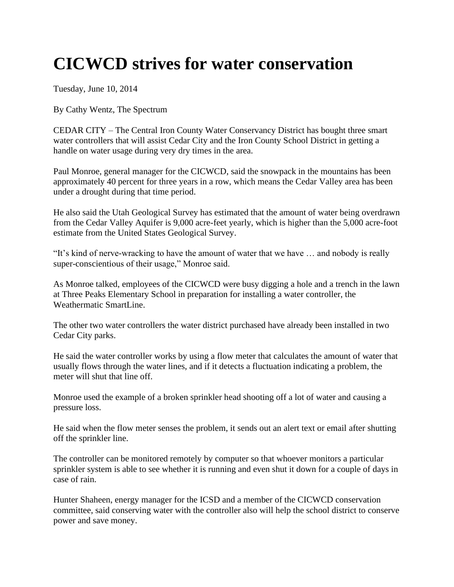## **CICWCD strives for water conservation**

Tuesday, June 10, 2014

By Cathy Wentz, The Spectrum

CEDAR CITY – The Central Iron County Water Conservancy District has bought three smart water controllers that will assist Cedar City and the Iron County School District in getting a handle on water usage during very dry times in the area.

Paul Monroe, general manager for the CICWCD, said the snowpack in the mountains has been approximately 40 percent for three years in a row, which means the Cedar Valley area has been under a drought during that time period.

He also said the Utah Geological Survey has estimated that the amount of water being overdrawn from the Cedar Valley Aquifer is 9,000 acre-feet yearly, which is higher than the 5,000 acre-foot estimate from the United States Geological Survey.

"It's kind of nerve-wracking to have the amount of water that we have … and nobody is really super-conscientious of their usage," Monroe said.

As Monroe talked, employees of the CICWCD were busy digging a hole and a trench in the lawn at Three Peaks Elementary School in preparation for installing a water controller, the Weathermatic SmartLine.

The other two water controllers the water district purchased have already been installed in two Cedar City parks.

He said the water controller works by using a flow meter that calculates the amount of water that usually flows through the water lines, and if it detects a fluctuation indicating a problem, the meter will shut that line off.

Monroe used the example of a broken sprinkler head shooting off a lot of water and causing a pressure loss.

He said when the flow meter senses the problem, it sends out an alert text or email after shutting off the sprinkler line.

The controller can be monitored remotely by computer so that whoever monitors a particular sprinkler system is able to see whether it is running and even shut it down for a couple of days in case of rain.

Hunter Shaheen, energy manager for the ICSD and a member of the CICWCD conservation committee, said conserving water with the controller also will help the school district to conserve power and save money.